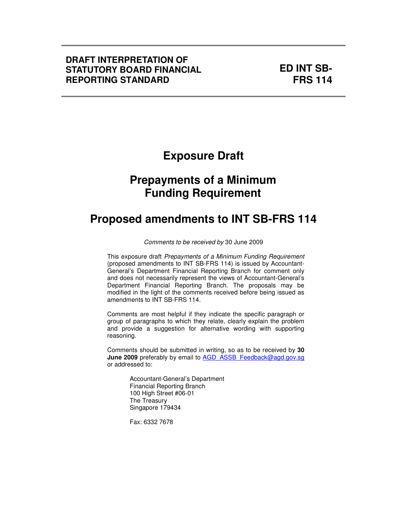### **DRAFT INTERPRETATION OF STATUTORY BOARD FINANCIAL REPORTING STANDARD**

**ED INT SB-FRS 114**

# **Exposure Draft**

# **Prepayments of a Minimum Funding Requirement**

# **Proposed amendments to INT SB-FRS 114**

Comments to be received by 30 June 2009

This exposure draft Prepayments of a Minimum Funding Requirement (proposed amendments to INT SB-FRS 114) is issued by Accountant-General's Department Financial Reporting Branch for comment only and does not necessarily represent the views of Accountant-General's Department Financial Reporting Branch. The proposals may be modified in the light of the comments received before being issued as amendments to INT SB-FRS 114.

Comments are most helpful if they indicate the specific paragraph or group of paragraphs to which they relate, clearly explain the problem and provide a suggestion for alternative wording with supporting reasoning.

Comments should be submitted in writing, so as to be received by **30 June 2009** preferably by email to AGD\_ASSB\_Feedback@agd.gov.sg or addressed to:

> Accountant-General's Department Financial Reporting Branch 100 High Street #06-01 The Treasury Singapore 179434

Fax: 6332 7678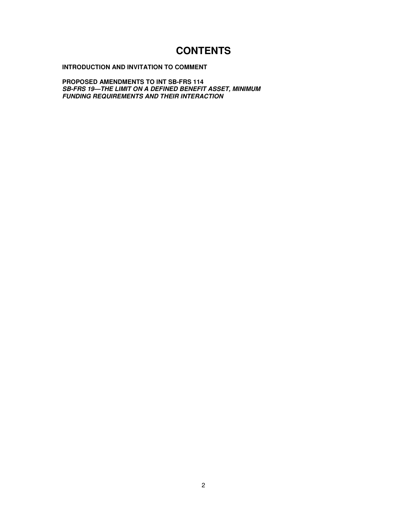## **CONTENTS**

### **INTRODUCTION AND INVITATION TO COMMENT**

**PROPOSED AMENDMENTS TO INT SB-FRS 114 SB-FRS 19—THE LIMIT ON A DEFINED BENEFIT ASSET, MINIMUM FUNDING REQUIREMENTS AND THEIR INTERACTION**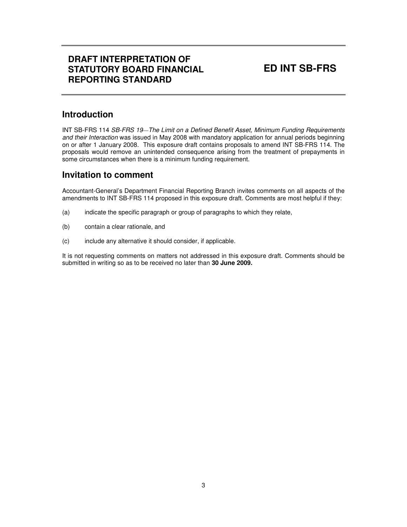## **DRAFT INTERPRETATION OF STATUTORY BOARD FINANCIAL REPORTING STANDARD**

## **ED INT SB-FRS**

### **Introduction**

INT SB-FRS 114 SB-FRS 19*—*The Limit on a Defined Benefit Asset, Minimum Funding Requirements and their Interaction was issued in May 2008 with mandatory application for annual periods beginning on or after 1 January 2008. This exposure draft contains proposals to amend INT SB-FRS 114. The proposals would remove an unintended consequence arising from the treatment of prepayments in some circumstances when there is a minimum funding requirement.

### **Invitation to comment**

Accountant-General's Department Financial Reporting Branch invites comments on all aspects of the amendments to INT SB-FRS 114 proposed in this exposure draft. Comments are most helpful if they:

- (a) indicate the specific paragraph or group of paragraphs to which they relate,
- (b) contain a clear rationale, and
- (c) include any alternative it should consider, if applicable.

It is not requesting comments on matters not addressed in this exposure draft. Comments should be submitted in writing so as to be received no later than **30 June 2009.**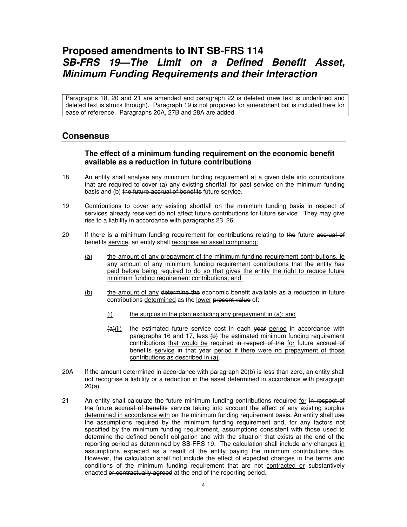## **Proposed amendments to INT SB-FRS 114 SB-FRS 19—The Limit on a Defined Benefit Asset, Minimum Funding Requirements and their Interaction**

Paragraphs 18, 20 and 21 are amended and paragraph 22 is deleted (new text is underlined and deleted text is struck through). Paragraph 19 is not proposed for amendment but is included here for ease of reference. Paragraphs 20A, 27B and 28A are added.

### **Consensus**

### **The effect of a minimum funding requirement on the economic benefit available as a reduction in future contributions**

- 18 An entity shall analyse any minimum funding requirement at a given date into contributions that are required to cover (a) any existing shortfall for past service on the minimum funding basis and (b) the future accrual of benefits future service.
- 19 Contributions to cover any existing shortfall on the minimum funding basis in respect of services already received do not affect future contributions for future service. They may give rise to a liability in accordance with paragraphs 23–26.
- 20 If there is a minimum funding requirement for contributions relating to the future accrual of benefits service, an entity shall recognise an asset comprising:
	- (a) the amount of any prepayment of the minimum funding requirement contributions, ie any amount of any minimum funding requirement contributions that the entity has paid before being required to do so that gives the entity the right to reduce future minimum funding requirement contributions; and
	- (b) the amount of any determine the economic benefit available as a reduction in future contributions determined as the lower present value of:
		- $(i)$  the surplus in the plan excluding any prepayment in  $(a)$ ; and
		- $\frac{a}{i}$ (ii) the estimated future service cost in each year period in accordance with paragraphs 16 and 17, less  $\left\langle \varphi \right\rangle$  the estimated minimum funding requirement contributions that would be required in respect of the for future accrual of benefits service in that year period if there were no prepayment of those contributions as described in (a).
- 20A If the amount determined in accordance with paragraph 20(b) is less than zero, an entity shall not recognise a liability or a reduction in the asset determined in accordance with paragraph 20(a).
- 21 An entity shall calculate the future minimum funding contributions required for in respect of the future accrual of benefits service taking into account the effect of any existing surplus determined in accordance with on the minimum funding requirement basis. An entity shall use the assumptions required by the minimum funding requirement and, for any factors not specified by the minimum funding requirement, assumptions consistent with those used to determine the defined benefit obligation and with the situation that exists at the end of the reporting period as determined by SB-FRS 19. The calculation shall include any changes in assumptions expected as a result of the entity paying the minimum contributions due. However, the calculation shall not include the effect of expected changes in the terms and conditions of the minimum funding requirement that are not contracted or substantively enacted or contractually agreed at the end of the reporting period.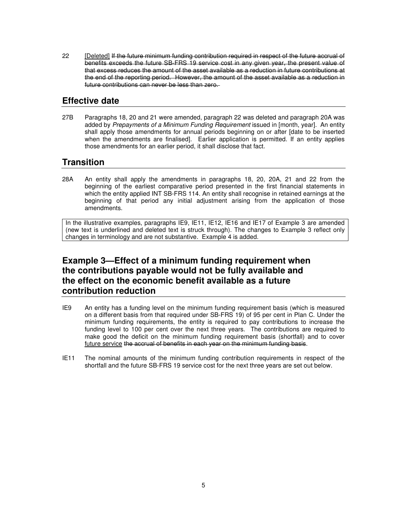22 [Deleted] If the future minimum funding contribution required in respect of the future accrual of benefits exceeds the future SB-FRS 19 service cost in any given year, the present value of that excess reduces the amount of the asset available as a reduction in future contributions at the end of the reporting period. However, the amount of the asset available as a reduction in future contributions can never be less than zero.

### **Effective date**

27B Paragraphs 18, 20 and 21 were amended, paragraph 22 was deleted and paragraph 20A was added by Prepayments of a Minimum Funding Requirement issued in [month, year]. An entity shall apply those amendments for annual periods beginning on or after [date to be inserted when the amendments are finalised]. Earlier application is permitted. If an entity applies those amendments for an earlier period, it shall disclose that fact.

### **Transition**

28A An entity shall apply the amendments in paragraphs 18, 20, 20A, 21 and 22 from the beginning of the earliest comparative period presented in the first financial statements in which the entity applied INT SB-FRS 114. An entity shall recognise in retained earnings at the beginning of that period any initial adjustment arising from the application of those amendments.

In the illustrative examples, paragraphs IE9, IE11, IE12, IE16 and IE17 of Example 3 are amended (new text is underlined and deleted text is struck through). The changes to Example 3 reflect only changes in terminology and are not substantive. Example 4 is added.

## **Example 3—Effect of a minimum funding requirement when the contributions payable would not be fully available and the effect on the economic benefit available as a future contribution reduction**

- IE9 An entity has a funding level on the minimum funding requirement basis (which is measured on a different basis from that required under SB-FRS 19) of 95 per cent in Plan C. Under the minimum funding requirements, the entity is required to pay contributions to increase the funding level to 100 per cent over the next three years. The contributions are required to make good the deficit on the minimum funding requirement basis (shortfall) and to cover future service the accrual of benefits in each year on the minimum funding basis.
- IE11 The nominal amounts of the minimum funding contribution requirements in respect of the shortfall and the future SB-FRS 19 service cost for the next three years are set out below.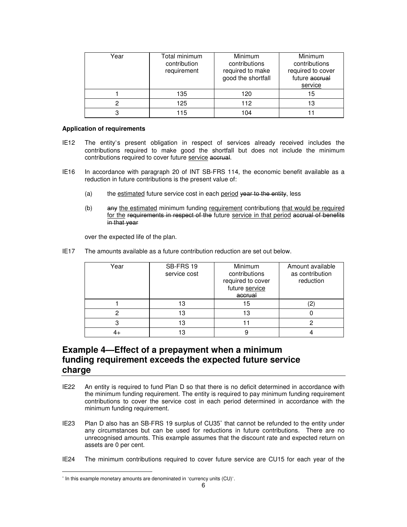| Year | Total minimum<br>contribution<br>requirement | <b>Minimum</b><br>contributions<br>required to make<br>good the shortfall | Minimum<br>contributions<br>required to cover<br>future accrual<br>service |
|------|----------------------------------------------|---------------------------------------------------------------------------|----------------------------------------------------------------------------|
|      | 135                                          | 120                                                                       | 15                                                                         |
|      | 125                                          | 112                                                                       | 13                                                                         |
|      | 115                                          | 104                                                                       |                                                                            |

#### **Application of requirements**

- IE12 The entity's present obligation in respect of services already received includes the contributions required to make good the shortfall but does not include the minimum contributions required to cover future service accrual.
- IE16 In accordance with paragraph 20 of INT SB-FRS 114, the economic benefit available as a reduction in future contributions is the present value of:
	- (a) the estimated future service cost in each period year to the entity, less
	- (b) any the estimated minimum funding requirement contributions that would be required for the requirements in respect of the future service in that period accrual of benefits in that year

over the expected life of the plan.

IE17 The amounts available as a future contribution reduction are set out below.

| Year | SB-FRS 19<br>service cost | Minimum<br>contributions<br>required to cover<br>future service<br>accrual | Amount available<br>as contribution<br>reduction |  |
|------|---------------------------|----------------------------------------------------------------------------|--------------------------------------------------|--|
|      | 13                        | 15                                                                         |                                                  |  |
|      | 13                        | 13                                                                         |                                                  |  |
|      | 13                        |                                                                            |                                                  |  |
|      | 3                         |                                                                            |                                                  |  |

### **Example 4—Effect of a prepayment when a minimum funding requirement exceeds the expected future service charge**

- IE22 An entity is required to fund Plan D so that there is no deficit determined in accordance with the minimum funding requirement. The entity is required to pay minimum funding requirement contributions to cover the service cost in each period determined in accordance with the minimum funding requirement.
- IE23 Plan D also has an SB-FRS 19 surplus of CU35<sup>\*</sup> that cannot be refunded to the entity under any circumstances but can be used for reductions in future contributions. There are no unrecognised amounts. This example assumes that the discount rate and expected return on assets are 0 per cent.
- IE24 The minimum contributions required to cover future service are CU15 for each year of the

 $\overline{a}$ 

<sup>∗</sup> In this example monetary amounts are denominated in 'currency units (CU)'.